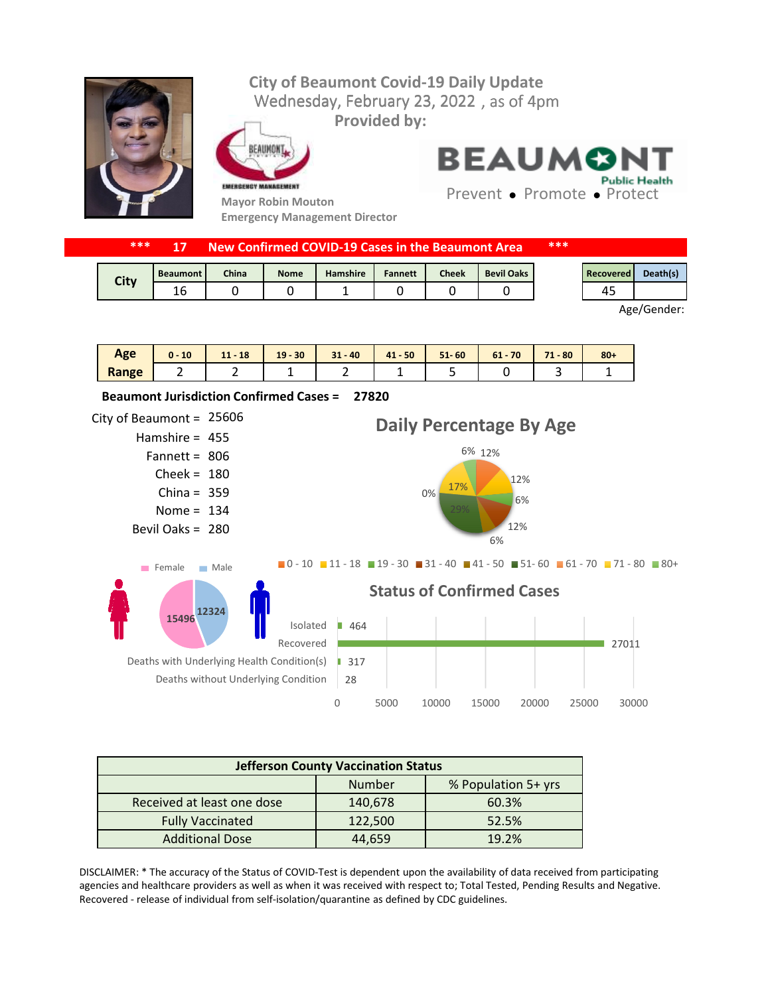## Wednesday, February 23, 2022, as of 4pm **City of Beaumont Covid-19 Daily Update Provided by:**



EAUMONT



**Mayor Robin Mouton Emergency Management Director** **BEAUMON Public Health** 

Prevent • Promote • Protect

| ***<br>New Confirmed COVID-19 Cases in the Beaumont Area |                 |       |             |          |                |              | ***               |  |           |          |
|----------------------------------------------------------|-----------------|-------|-------------|----------|----------------|--------------|-------------------|--|-----------|----------|
| City                                                     | <b>Beaumont</b> | China | <b>Nome</b> | Hamshire | <b>Fannett</b> | <b>Cheek</b> | <b>Bevil Oaks</b> |  | Recovered | Death(s) |
|                                                          |                 |       |             |          |                |              |                   |  |           |          |

Age/Gender:

| Age   | 10<br>$0 -$ | 18<br>111<br>- 11 | $19 - 30$ | $31 - 40$ | $41 - 50$ | $51 - 60$ | $61 - 70$ | 71<br>$-80$<br><b>COLOR</b> | $80 +$ |
|-------|-------------|-------------------|-----------|-----------|-----------|-----------|-----------|-----------------------------|--------|
| Range | -           | -                 |           | -         |           |           |           |                             |        |



| <b>Jefferson County Vaccination Status</b> |         |                     |  |  |  |  |  |
|--------------------------------------------|---------|---------------------|--|--|--|--|--|
|                                            | Number  | % Population 5+ yrs |  |  |  |  |  |
| Received at least one dose                 | 140,678 | 60.3%               |  |  |  |  |  |
| <b>Fully Vaccinated</b>                    | 122,500 | 52.5%               |  |  |  |  |  |
| <b>Additional Dose</b>                     | 44.659  | 19.2%               |  |  |  |  |  |

DISCLAIMER: \* The accuracy of the Status of COVID-Test is dependent upon the availability of data received from participating agencies and healthcare providers as well as when it was received with respect to; Total Tested, Pending Results and Negative. Recovered - release of individual from self-isolation/quarantine as defined by CDC guidelines.